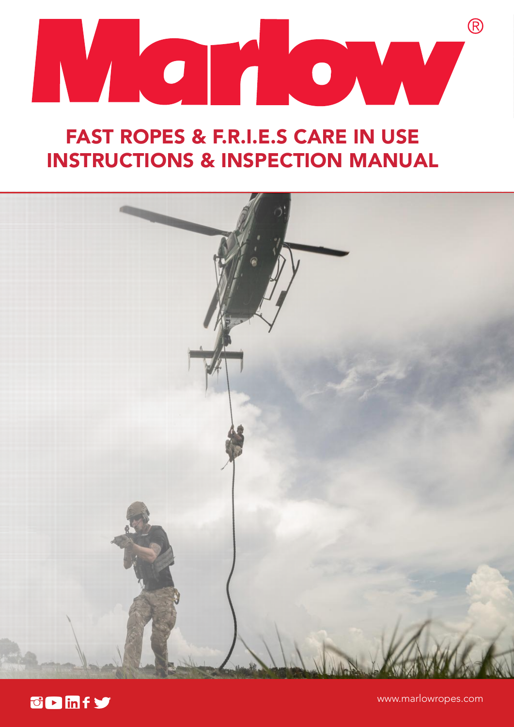

# FAST ROPES & F.R.I.E.S CARE IN USE INSTRUCTIONS & INSPECTION MANUAL



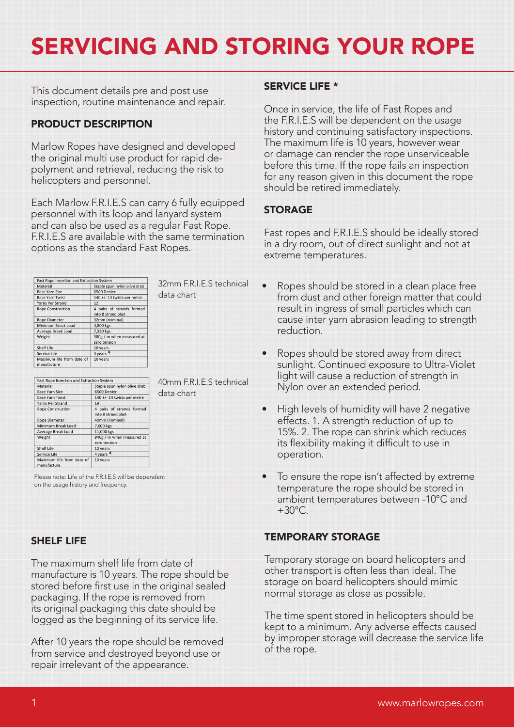# SERVICING AND STORING YOUR ROPE

This document details pre and post use inspection, routine maintenance and repair.

# PRODUCT DESCRIPTION

Marlow Ropes have designed and developed the original multi use product for rapid depolyment and retrieval, reducing the risk to helicopters and personnel.

Each Marlow F.R.I.E.S can carry 6 fully equipped personnel with its loop and lanyard system and can also be used as a regular Fast Rope. F.R.I.E.S are available with the same termination options as the standard Fast Ropes.

| Fast Rope Insertion and Extraction System |                                                  |
|-------------------------------------------|--------------------------------------------------|
| Material                                  | Staple spun nylon olive drab                     |
| <b>Base Yarn Size</b>                     | 6500 Denier                                      |
| <b>Base Yarn Twist</b>                    | 140 +/- 14 twists per metre                      |
| Yarns Per Strand                          | 12                                               |
| <b>Rope Construction</b>                  | 4 pairs of strands formed<br>into 8 strand plait |
| <b>Rope Diameter</b>                      | 32mm (nominal)                                   |
| Minimum Break Load                        | 4,800 kgs                                        |
| Average Break Load                        | 7,380 kgs                                        |
| Weight                                    | 580g / m when measured at<br>zero tension        |
| Shelf Life                                | 10 years                                         |
| Service Life                              | 4 years $*$                                      |
| Maximum life from date of<br>manufacture  | 10 years                                         |

40mm F.R.I.E.S technical

32mm F.R.I.E.S technical

data chart

data chart

| Fast Rope Insertion and Extraction System |                                                  |
|-------------------------------------------|--------------------------------------------------|
| Material                                  | Staple spun nylon olive drab                     |
| <b>Base Yarn Size</b>                     | 6500 Denier                                      |
| <b>Base Yarn Twist</b>                    | $140 +/- 14$ twists per metre                    |
| Yarns Per Strand                          | 19                                               |
| <b>Rope Construction</b>                  | 4 pairs of strands formed<br>into 8 strand plait |
| <b>Rope Diameter</b>                      | 40mm (nominal)                                   |
| Minimum Break Load                        | 7,600 kgs                                        |
| Average Break Load                        | 11,000 kgs                                       |
| Weight                                    | 940g / m when measured at                        |
|                                           | zero tension                                     |
| Shelf Life                                | 10 years                                         |
| Service Life                              | 4 years $*$                                      |
| Maximum life from date of<br>manufacture  | 10 years                                         |

Please note: Life of the F.R.I.E.S will be dependent on the usage history and frequency.

### SHELF LIFE

The maximum shelf life from date of manufacture is 10 years. The rope should be stored before first use in the original sealed packaging. If the rope is removed from its original packaging this date should be logged as the beginning of its service life.

After 10 years the rope should be removed from service and destroyed beyond use or repair irrelevant of the appearance.

### SERVICE LIFE \*

Once in service, the life of Fast Ropes and the F.R.I.E.S will be dependent on the usage history and continuing satisfactory inspections. The maximum life is 10 years, however wear or damage can render the rope unserviceable before this time. If the rope fails an inspection for any reason given in this document the rope should be retired immediately.

# STORAGE

Fast ropes and F.R.I.E.S should be ideally stored in a dry room, out of direct sunlight and not at extreme temperatures.

- Ropes should be stored in a clean place free from dust and other foreign matter that could result in ingress of small particles which can cause inter yarn abrasion leading to strength reduction.
- Ropes should be stored away from direct sunlight. Continued exposure to Ultra-Violet light will cause a reduction of strength in Nylon over an extended period.
- High levels of humidity will have 2 negative effects. 1. A strength reduction of up to 15%. 2. The rope can shrink which reduces its flexibility making it difficult to use in operation.
- To ensure the rope isn't affected by extreme temperature the rope should be stored in ambient temperatures between -10°C and  $+30^{\circ}$ C.

### TEMPORARY STORAGE

Temporary storage on board helicopters and other transport is often less than ideal. The storage on board helicopters should mimic normal storage as close as possible.

The time spent stored in helicopters should be kept to a minimum. Any adverse effects caused by improper storage will decrease the service life of the rope.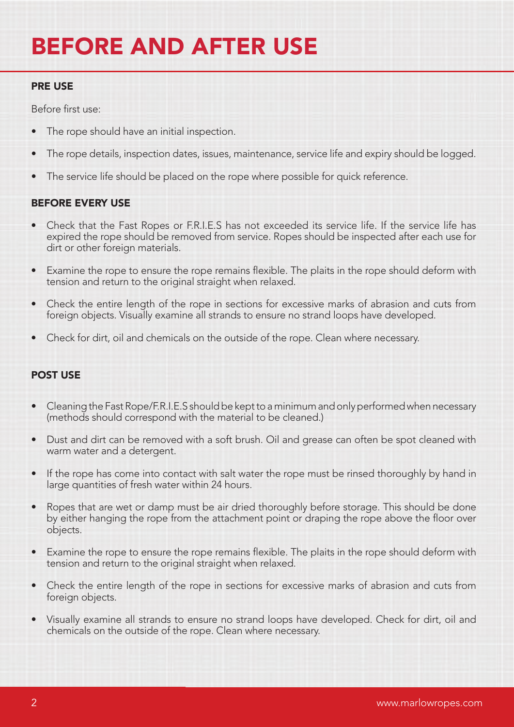# BEFORE AND AFTER USE

## PRE USE

Before first use:

- The rope should have an initial inspection.
- The rope details, inspection dates, issues, maintenance, service life and expiry should be logged.
- The service life should be placed on the rope where possible for quick reference.

# BEFORE EVERY USE

- Check that the Fast Ropes or F.R.I.E.S has not exceeded its service life. If the service life has expired the rope should be removed from service. Ropes should be inspected after each use for dirt or other foreign materials.
- Examine the rope to ensure the rope remains flexible. The plaits in the rope should deform with tension and return to the original straight when relaxed.
- Check the entire length of the rope in sections for excessive marks of abrasion and cuts from foreign objects. Visually examine all strands to ensure no strand loops have developed.
- Check for dirt, oil and chemicals on the outside of the rope. Clean where necessary.

# POST USE

- Cleaning the Fast Rope/F.R.I.E.S should be kept to a minimum and only performed when necessary (methods should correspond with the material to be cleaned.)
- Dust and dirt can be removed with a soft brush. Oil and grease can often be spot cleaned with warm water and a detergent.
- If the rope has come into contact with salt water the rope must be rinsed thoroughly by hand in large quantities of fresh water within 24 hours.
- Ropes that are wet or damp must be air dried thoroughly before storage. This should be done by either hanging the rope from the attachment point or draping the rope above the floor over objects.
- Examine the rope to ensure the rope remains flexible. The plaits in the rope should deform with tension and return to the original straight when relaxed.
- Check the entire length of the rope in sections for excessive marks of abrasion and cuts from foreign objects.
- Visually examine all strands to ensure no strand loops have developed. Check for dirt, oil and chemicals on the outside of the rope. Clean where necessary.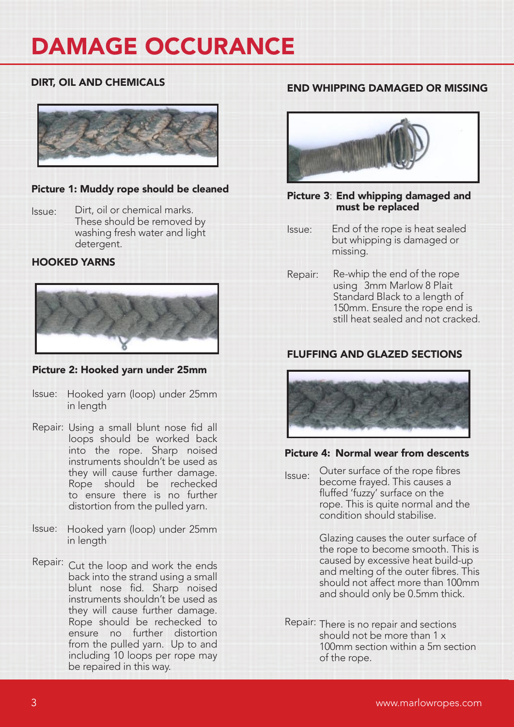# DIRT, OIL AND CHEMICALS



### Picture 1: Muddy rope should be cleaned

Issue: Dirt, oil or chemical marks. These should be removed by washing fresh water and light detergent.

#### HOOKED YARNS



### Picture 2: Hooked yarn under 25mm

- Issue: Hooked yarn (loop) under 25mm in length
- Repair: Using a small blunt nose fid all loops should be worked back into the rope. Sharp noised instruments shouldn't be used as they will cause further damage. Rope should be rechecked to ensure there is no further distortion from the pulled yarn.
- Issue: Hooked yarn (loop) under 25mm in length
- Repair: Cut the loop and work the ends back into the strand using a small blunt nose fid. Sharp noised instruments shouldn't be used as they will cause further damage. Rope should be rechecked to ensure no further distortion from the pulled yarn. Up to and including 10 loops per rope may be repaired in this way.

### END WHIPPING DAMAGED OR MISSING



#### Picture 3: End whipping damaged and must be replaced

- Issue: End of the rope is heat sealed but whipping is damaged or missing.
- Repair: Re-whip the end of the rope using 3mm Marlow 8 Plait Standard Black to a length of 150mm. Ensure the rope end is still heat sealed and not cracked.

# FLUFFING AND GLAZED SECTIONS



### Picture 4: Normal wear from descents

Issue: Outer surface of the rope fibres become frayed. This causes a fluffed 'fuzzy' surface on the rope. This is quite normal and the condition should stabilise.

> Glazing causes the outer surface of the rope to become smooth. This is caused by excessive heat build-up and melting of the outer fibres. This should not affect more than 100mm and should only be 0.5mm thick.

Repair: There is no repair and sections should not be more than 1 x 100mm section within a 5m section of the rope.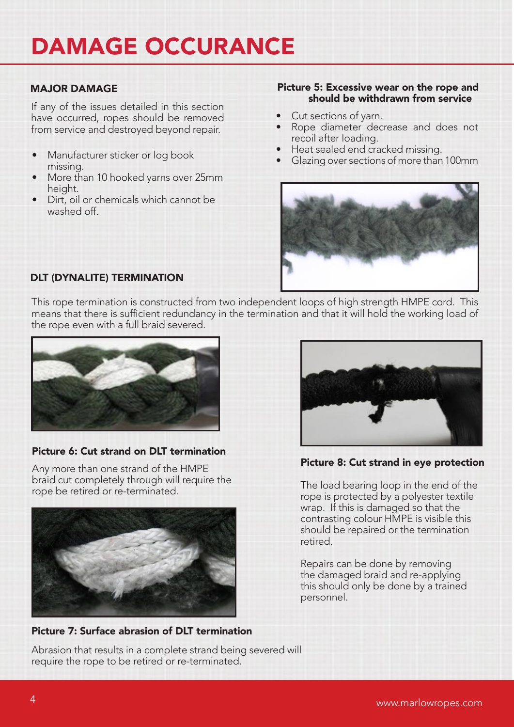If any of the issues detailed in this section have occurred, ropes should be removed from service and destroyed beyond repair.

- Manufacturer sticker or log book missing.
- More than 10 hooked yarns over 25mm height.
- Dirt, oil or chemicals which cannot be washed off.

#### MAJOR DAMAGE **Picture 5: Excessive wear on the rope and** should be withdrawn from service

- Cut sections of yarn.
- Rope diameter decrease and does not recoil after loading.
- Heat sealed end cracked missing.
- Glazing over sections of more than 100mm



# DLT (DYNALITE) TERMINATION

This rope termination is constructed from two independent loops of high strength HMPE cord. This means that there is sufficient redundancy in the termination and that it will hold the working load of the rope even with a full braid severed.



# Picture 6: Cut strand on DLT termination

Any more than one strand of the HMPE braid cut completely through will require the rope be retired or re-terminated.



# Picture 7: Surface abrasion of DLT termination

Abrasion that results in a complete strand being severed will require the rope to be retired or re-terminated.



Picture 8: Cut strand in eye protection

The load bearing loop in the end of the rope is protected by a polyester textile wrap. If this is damaged so that the contrasting colour HMPE is visible this should be repaired or the termination retired.

Repairs can be done by removing the damaged braid and re-applying this should only be done by a trained personnel.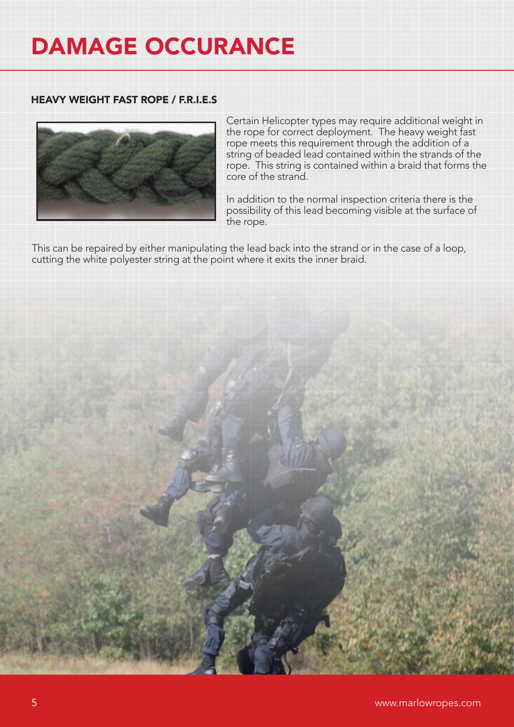### HEAVY WEIGHT FAST ROPE / F.R.I.E.S



Certain Helicopter types may require additional weight in the rope for correct deployment. The heavy weight fast rope meets this requirement through the addition of a string of beaded lead contained within the strands of the rope. This string is contained within a braid that forms the core of the strand.

In addition to the normal inspection criteria there is the possibility of this lead becoming visible at the surface of the rope.

This can be repaired by either manipulating the lead back into the strand or in the case of a loop, cutting the white polyester string at the point where it exits the inner braid.

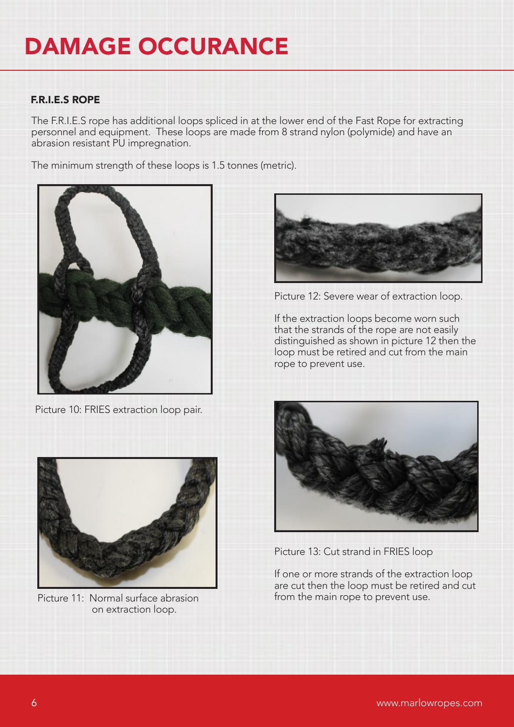# F.R.I.E.S ROPE

The F.R.I.E.S rope has additional loops spliced in at the lower end of the Fast Rope for extracting personnel and equipment. These loops are made from 8 strand nylon (polymide) and have an abrasion resistant PU impregnation.

The minimum strength of these loops is 1.5 tonnes (metric).



Picture 10: FRIES extraction loop pair.



Picture 11: Normal surface abrasion on extraction loop.



Picture 12: Severe wear of extraction loop.

If the extraction loops become worn such that the strands of the rope are not easily distinguished as shown in picture 12 then the loop must be retired and cut from the main rope to prevent use.



Picture 13: Cut strand in FRIES loop

If one or more strands of the extraction loop are cut then the loop must be retired and cut from the main rope to prevent use.